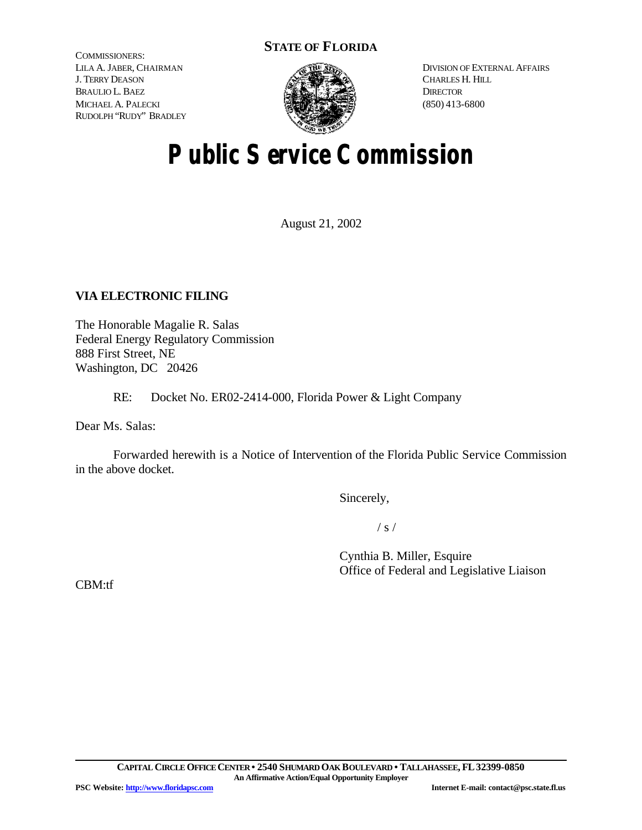# **STATE OF FLORIDA**

COMMISSIONERS: LILA A. JABER, CHAIRMAN J. TERRY DEASON BRAULIO L. BAEZ MICHAEL A. PALECKI RUDOLPH "RUDY" BRADLEY



DIVISION OF EXTERNAL AFFAIRS CHARLES H. HILL **DIRECTOR** (850) 413-6800

# **Public Service Commission**

August 21, 2002

# **VIA ELECTRONIC FILING**

The Honorable Magalie R. Salas Federal Energy Regulatory Commission 888 First Street, NE Washington, DC 20426

RE: Docket No. ER02-2414-000, Florida Power & Light Company

Dear Ms. Salas:

Forwarded herewith is a Notice of Intervention of the Florida Public Service Commission in the above docket.

Sincerely,

 $/ s /$ 

Cynthia B. Miller, Esquire Office of Federal and Legislative Liaison

CBM:tf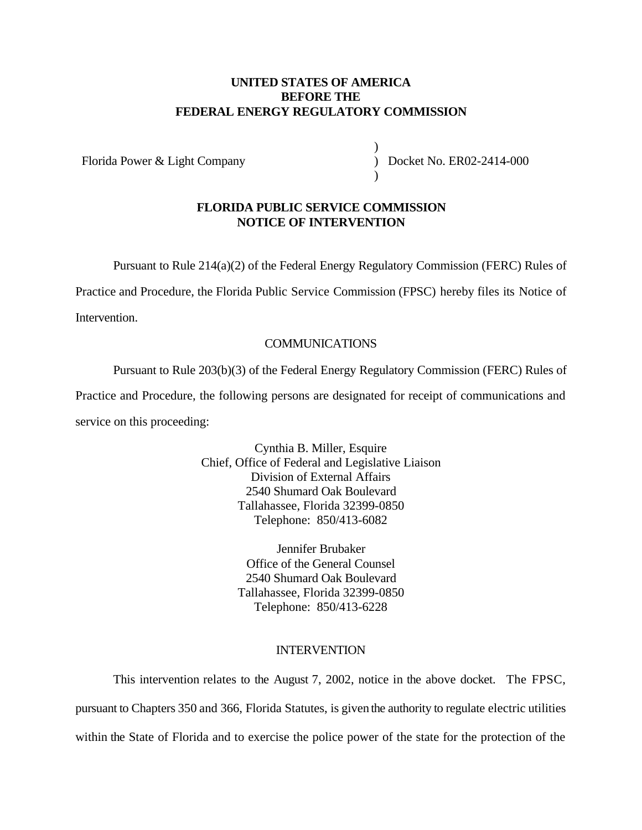### **UNITED STATES OF AMERICA BEFORE THE FEDERAL ENERGY REGULATORY COMMISSION**

Florida Power & Light Company

) ) Docket No. ER02-2414-000 )

#### **FLORIDA PUBLIC SERVICE COMMISSION NOTICE OF INTERVENTION**

Pursuant to Rule 214(a)(2) of the Federal Energy Regulatory Commission (FERC) Rules of

Practice and Procedure, the Florida Public Service Commission (FPSC) hereby files its Notice of

Intervention.

## COMMUNICATIONS

Pursuant to Rule 203(b)(3) of the Federal Energy Regulatory Commission (FERC) Rules of Practice and Procedure, the following persons are designated for receipt of communications and service on this proceeding:

> Cynthia B. Miller, Esquire Chief, Office of Federal and Legislative Liaison Division of External Affairs 2540 Shumard Oak Boulevard Tallahassee, Florida 32399-0850 Telephone: 850/413-6082

> > Jennifer Brubaker Office of the General Counsel 2540 Shumard Oak Boulevard Tallahassee, Florida 32399-0850 Telephone: 850/413-6228

#### INTERVENTION

This intervention relates to the August 7, 2002, notice in the above docket. The FPSC, pursuant to Chapters 350 and 366, Florida Statutes, is given the authority to regulate electric utilities within the State of Florida and to exercise the police power of the state for the protection of the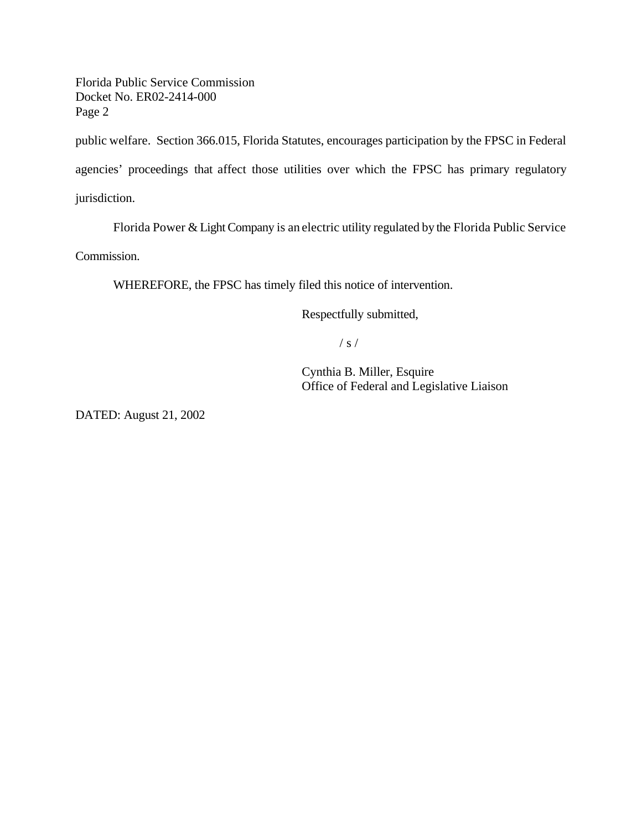Florida Public Service Commission Docket No. ER02-2414-000 Page 2

public welfare. Section 366.015, Florida Statutes, encourages participation by the FPSC in Federal agencies' proceedings that affect those utilities over which the FPSC has primary regulatory jurisdiction.

Florida Power & Light Company is an electric utility regulated by the Florida Public Service

Commission.

WHEREFORE, the FPSC has timely filed this notice of intervention.

Respectfully submitted,

 $/ s /$ 

Cynthia B. Miller, Esquire Office of Federal and Legislative Liaison

DATED: August 21, 2002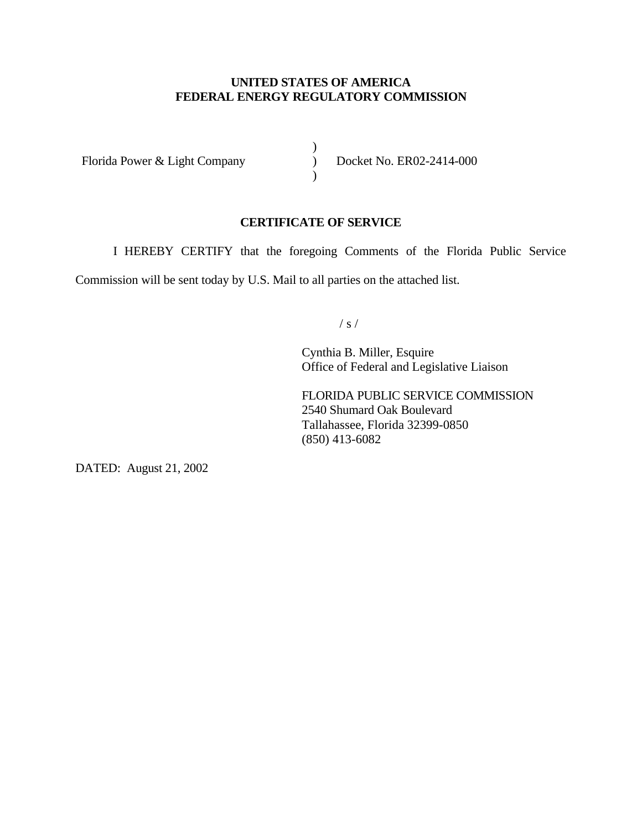## **UNITED STATES OF AMERICA FEDERAL ENERGY REGULATORY COMMISSION**

)  $\overline{)}$  $\lambda$ 

Florida Power & Light Company

Docket No. ER02-2414-000

#### **CERTIFICATE OF SERVICE**

I HEREBY CERTIFY that the foregoing Comments of the Florida Public Service

Commission will be sent today by U.S. Mail to all parties on the attached list.

/ s /

Cynthia B. Miller, Esquire Office of Federal and Legislative Liaison

FLORIDA PUBLIC SERVICE COMMISSION 2540 Shumard Oak Boulevard Tallahassee, Florida 32399-0850 (850) 413-6082

DATED: August 21, 2002